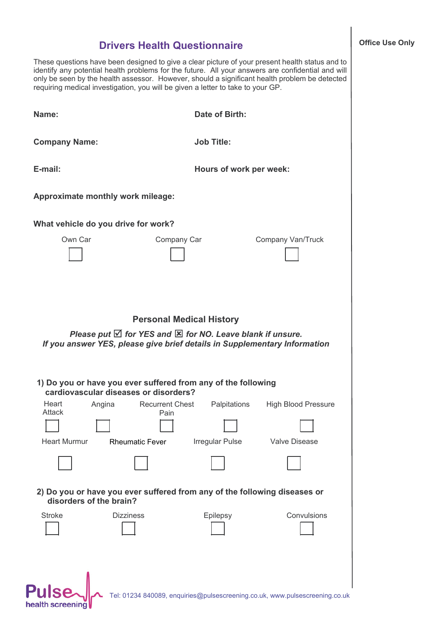## **Drivers Health Questionnaire**

These questions have been designed to give a clear picture of your present health status and to identify any potential health problems for the future. All your answers are confidential and will only be seen by the health assessor. However, should a significant health problem be detected requiring medical investigation, you will be given a letter to take to your GP.

| Name:                                                                                                  | <b>Date of Birth:</b>                                                                                                                                                                         |
|--------------------------------------------------------------------------------------------------------|-----------------------------------------------------------------------------------------------------------------------------------------------------------------------------------------------|
| <b>Company Name:</b>                                                                                   | <b>Job Title:</b>                                                                                                                                                                             |
| E-mail:                                                                                                | Hours of work per week:                                                                                                                                                                       |
| Approximate monthly work mileage:                                                                      |                                                                                                                                                                                               |
| What vehicle do you drive for work?                                                                    |                                                                                                                                                                                               |
| Own Car                                                                                                | Company Car<br>Company Van/Truck                                                                                                                                                              |
|                                                                                                        | <b>Personal Medical History</b><br>Please put $\boxtimes$ for YES and $\boxtimes$ for NO. Leave blank if unsure.<br>If you answer YES, please give brief details in Supplementary Information |
| 1) Do you or have you ever suffered from any of the following<br>cardiovascular diseases or disorders? |                                                                                                                                                                                               |
| Heart<br><b>Recurrent Chest</b><br>Angina<br>Attack<br>Pain                                            | Palpitations<br><b>High Blood Pressure</b>                                                                                                                                                    |
| <b>Heart Murmur</b><br><b>Rheumatic Fever</b>                                                          | Irregular Pulse<br><b>Valve Disease</b>                                                                                                                                                       |
|                                                                                                        |                                                                                                                                                                                               |
| disorders of the brain?                                                                                | 2) Do you or have you ever suffered from any of the following diseases or                                                                                                                     |
| <b>Stroke</b><br><b>Dizziness</b>                                                                      | Convulsions<br>Epilepsy                                                                                                                                                                       |
| <b>Pulse</b><br>health screening                                                                       | Tel: 01234 840089, enquiries@pulsescreening.co.uk, www.pulsescreening.co.uk                                                                                                                   |

## **Office Use Only**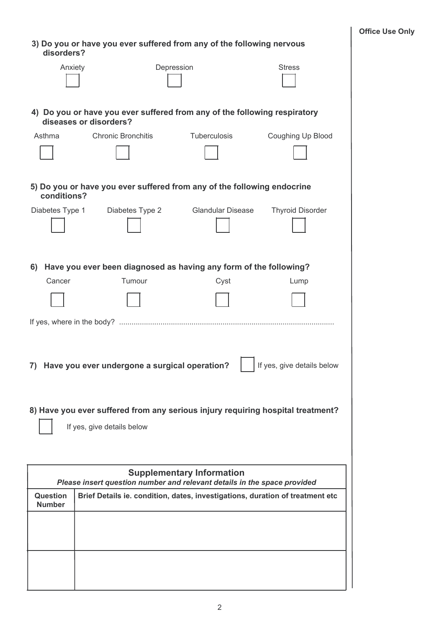| disorders?                       |                                 | 3) Do you or have you ever suffered from any of the following nervous   |                                                                                 |
|----------------------------------|---------------------------------|-------------------------------------------------------------------------|---------------------------------------------------------------------------------|
| Anxiety                          |                                 | Depression                                                              | <b>Stress</b>                                                                   |
|                                  | diseases or disorders?          |                                                                         | 4) Do you or have you ever suffered from any of the following respiratory       |
| Asthma                           | <b>Chronic Bronchitis</b>       | Tuberculosis                                                            | Coughing Up Blood                                                               |
|                                  |                                 |                                                                         |                                                                                 |
| conditions?                      |                                 | 5) Do you or have you ever suffered from any of the following endocrine |                                                                                 |
|                                  | Diabetes Type 1 Diabetes Type 2 | <b>Glandular Disease</b>                                                | <b>Thyroid Disorder</b>                                                         |
|                                  |                                 |                                                                         |                                                                                 |
| 6)                               |                                 | Have you ever been diagnosed as having any form of the following?       |                                                                                 |
| Cancer                           | Tumour                          | Cyst                                                                    | Lump                                                                            |
|                                  |                                 |                                                                         |                                                                                 |
|                                  |                                 |                                                                         |                                                                                 |
| 7)                               |                                 | Have you ever undergone a surgical operation?                           | If yes, give details below                                                      |
|                                  |                                 |                                                                         | 8) Have you ever suffered from any serious injury requiring hospital treatment? |
|                                  | If yes, give details below      |                                                                         |                                                                                 |
|                                  |                                 |                                                                         |                                                                                 |
|                                  |                                 | <b>Supplementary Information</b>                                        | Please insert question number and relevant details in the space provided        |
| <b>Question</b><br><b>Number</b> |                                 |                                                                         | Brief Details ie. condition, dates, investigations, duration of treatment etc   |
|                                  |                                 |                                                                         |                                                                                 |
|                                  |                                 |                                                                         |                                                                                 |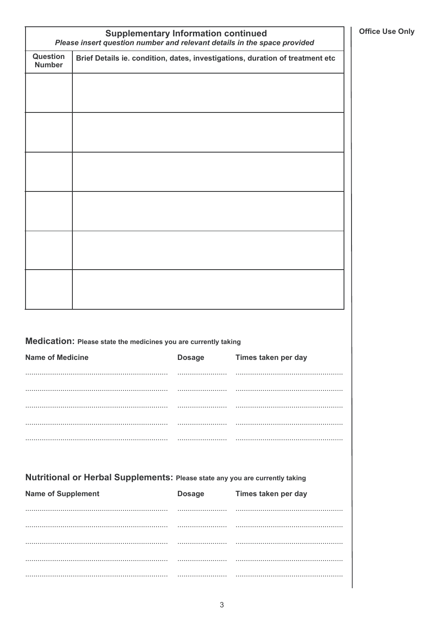|                           | <b>Supplementary Information continued</b><br>Please insert question number and relevant details in the space provided |               |                     |  |  |
|---------------------------|------------------------------------------------------------------------------------------------------------------------|---------------|---------------------|--|--|
| Question<br><b>Number</b> | Brief Details ie. condition, dates, investigations, duration of treatment etc                                          |               |                     |  |  |
|                           |                                                                                                                        |               |                     |  |  |
|                           |                                                                                                                        |               |                     |  |  |
|                           |                                                                                                                        |               |                     |  |  |
|                           |                                                                                                                        |               |                     |  |  |
|                           |                                                                                                                        |               |                     |  |  |
|                           |                                                                                                                        |               |                     |  |  |
|                           |                                                                                                                        |               |                     |  |  |
|                           |                                                                                                                        |               |                     |  |  |
|                           |                                                                                                                        |               |                     |  |  |
|                           |                                                                                                                        |               |                     |  |  |
|                           |                                                                                                                        |               |                     |  |  |
|                           |                                                                                                                        |               |                     |  |  |
|                           |                                                                                                                        |               |                     |  |  |
|                           |                                                                                                                        |               |                     |  |  |
|                           | Medication: Please state the medicines you are currently taking                                                        |               |                     |  |  |
| <b>Name of Medicine</b>   |                                                                                                                        | <b>Dosage</b> | Times taken per day |  |  |
|                           |                                                                                                                        |               |                     |  |  |
|                           |                                                                                                                        |               |                     |  |  |
|                           |                                                                                                                        |               |                     |  |  |
|                           |                                                                                                                        |               |                     |  |  |
|                           |                                                                                                                        |               |                     |  |  |
|                           | Nutritional or Herbal Supplements: Please state any you are currently taking                                           |               |                     |  |  |
| <b>Name of Supplement</b> |                                                                                                                        | <b>Dosage</b> | Times taken per day |  |  |
|                           |                                                                                                                        | .             |                     |  |  |
|                           |                                                                                                                        |               |                     |  |  |
|                           |                                                                                                                        |               |                     |  |  |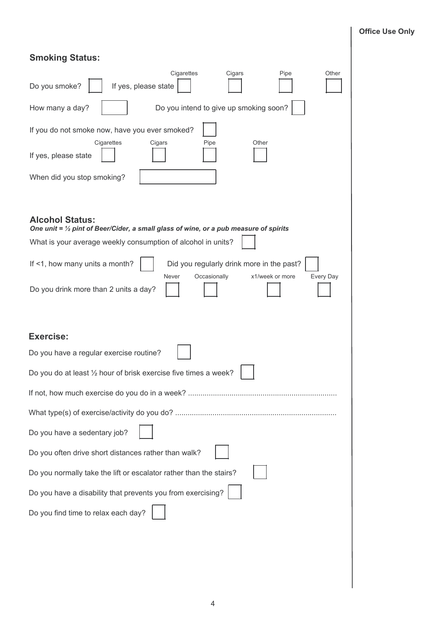## **Office Use Only**

| <b>Smoking Status:</b> |
|------------------------|
|------------------------|

| Cigarettes<br>Cigars<br>Pipe<br>Other<br>Do you smoke?<br>If yes, please state                                                       |
|--------------------------------------------------------------------------------------------------------------------------------------|
| Do you intend to give up smoking soon?<br>How many a day?                                                                            |
| If you do not smoke now, have you ever smoked?<br>Cigarettes<br>Pipe<br>Other<br>Cigars                                              |
| If yes, please state                                                                                                                 |
| When did you stop smoking?                                                                                                           |
|                                                                                                                                      |
| <b>Alcohol Status:</b><br>One unit = $\frac{1}{2}$ pint of Beer/Cider, a small glass of wine, or a pub measure of spirits            |
| What is your average weekly consumption of alcohol in units?                                                                         |
| If <1, how many units a month?<br>Did you regularly drink more in the past?<br>Never<br>Occasionally<br>x1/week or more<br>Every Day |
| Do you drink more than 2 units a day?                                                                                                |
|                                                                                                                                      |
| <b>Exercise:</b>                                                                                                                     |
| Do you have a regular exercise routine?                                                                                              |
| Do you do at least 1/2 hour of brisk exercise five times a week?                                                                     |
|                                                                                                                                      |
|                                                                                                                                      |
| Do you have a sedentary job?                                                                                                         |
| Do you often drive short distances rather than walk?                                                                                 |
| Do you normally take the lift or escalator rather than the stairs?                                                                   |
| Do you have a disability that prevents you from exercising?                                                                          |
| Do you find time to relax each day?                                                                                                  |
|                                                                                                                                      |
|                                                                                                                                      |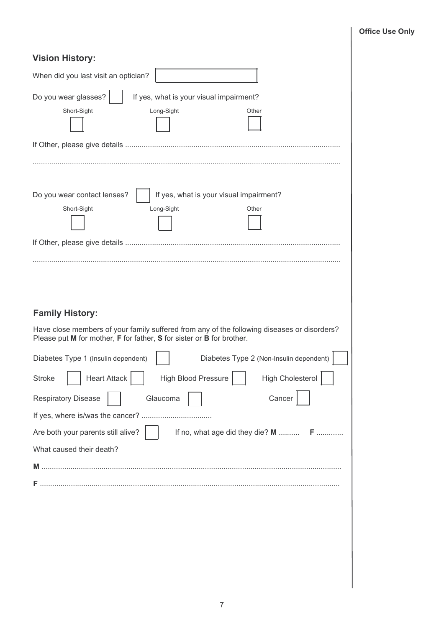| <b>Vision History:</b>                                                                                                                                                                                                                                                                                                                                                                                                                                                                                                                             |
|----------------------------------------------------------------------------------------------------------------------------------------------------------------------------------------------------------------------------------------------------------------------------------------------------------------------------------------------------------------------------------------------------------------------------------------------------------------------------------------------------------------------------------------------------|
| When did you last visit an optician?                                                                                                                                                                                                                                                                                                                                                                                                                                                                                                               |
| Do you wear glasses?<br>If yes, what is your visual impairment?<br>Short-Sight<br>Long-Sight<br>Other                                                                                                                                                                                                                                                                                                                                                                                                                                              |
|                                                                                                                                                                                                                                                                                                                                                                                                                                                                                                                                                    |
| If yes, what is your visual impairment?<br>Do you wear contact lenses?<br>Short-Sight<br>Long-Sight<br>Other                                                                                                                                                                                                                                                                                                                                                                                                                                       |
| <b>Family History:</b><br>Have close members of your family suffered from any of the following diseases or disorders?<br>Please put M for mother, F for father, S for sister or B for brother.<br>Diabetes Type 2 (Non-Insulin dependent)<br>Diabetes Type 1 (Insulin dependent)<br><b>Heart Attack</b><br><b>High Cholesterol</b><br><b>High Blood Pressure</b><br><b>Stroke</b><br><b>Respiratory Disease</b><br>Cancer<br>Glaucoma<br>Are both your parents still alive?<br>If no, what age did they die? M  F<br>What caused their death?<br>м |